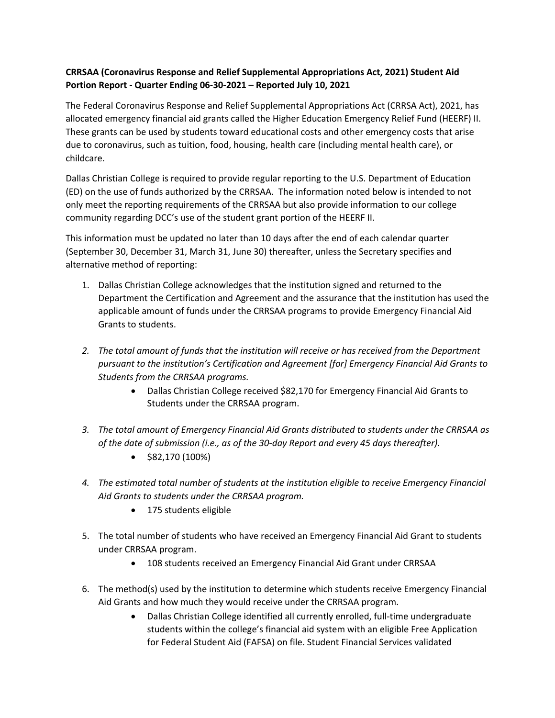## **CRRSAA (Coronavirus Response and Relief Supplemental Appropriations Act, 2021) Student Aid Portion Report - Quarter Ending 06-30-2021 – Reported July 10, 2021**

The Federal Coronavirus Response and Relief Supplemental Appropriations Act (CRRSA Act), 2021, has allocated emergency financial aid grants called the Higher Education Emergency Relief Fund (HEERF) II. These grants can be used by students toward educational costs and other emergency costs that arise due to coronavirus, such as tuition, food, housing, health care (including mental health care), or childcare.

Dallas Christian College is required to provide regular reporting to the U.S. Department of Education (ED) on the use of funds authorized by the CRRSAA. The information noted below is intended to not only meet the reporting requirements of the CRRSAA but also provide information to our college community regarding DCC's use of the student grant portion of the HEERF II.

This information must be updated no later than 10 days after the end of each calendar quarter (September 30, December 31, March 31, June 30) thereafter, unless the Secretary specifies and alternative method of reporting:

- 1. Dallas Christian College acknowledges that the institution signed and returned to the Department the Certification and Agreement and the assurance that the institution has used the applicable amount of funds under the CRRSAA programs to provide Emergency Financial Aid Grants to students.
- *2. The total amount of funds that the institution will receive or has received from the Department pursuant to the institution's Certification and Agreement [for] Emergency Financial Aid Grants to Students from the CRRSAA programs.*
	- Dallas Christian College received \$82,170 for Emergency Financial Aid Grants to Students under the CRRSAA program.
- *3. The total amount of Emergency Financial Aid Grants distributed to students under the CRRSAA as of the date of submission (i.e., as of the 30-day Report and every 45 days thereafter).*
	- $\bullet$  \$82,170 (100%)
- *4. The estimated total number of students at the institution eligible to receive Emergency Financial Aid Grants to students under the CRRSAA program.*
	- 175 students eligible
- 5. The total number of students who have received an Emergency Financial Aid Grant to students under CRRSAA program.
	- 108 students received an Emergency Financial Aid Grant under CRRSAA
- 6. The method(s) used by the institution to determine which students receive Emergency Financial Aid Grants and how much they would receive under the CRRSAA program.
	- Dallas Christian College identified all currently enrolled, full-time undergraduate students within the college's financial aid system with an eligible Free Application for Federal Student Aid (FAFSA) on file. Student Financial Services validated